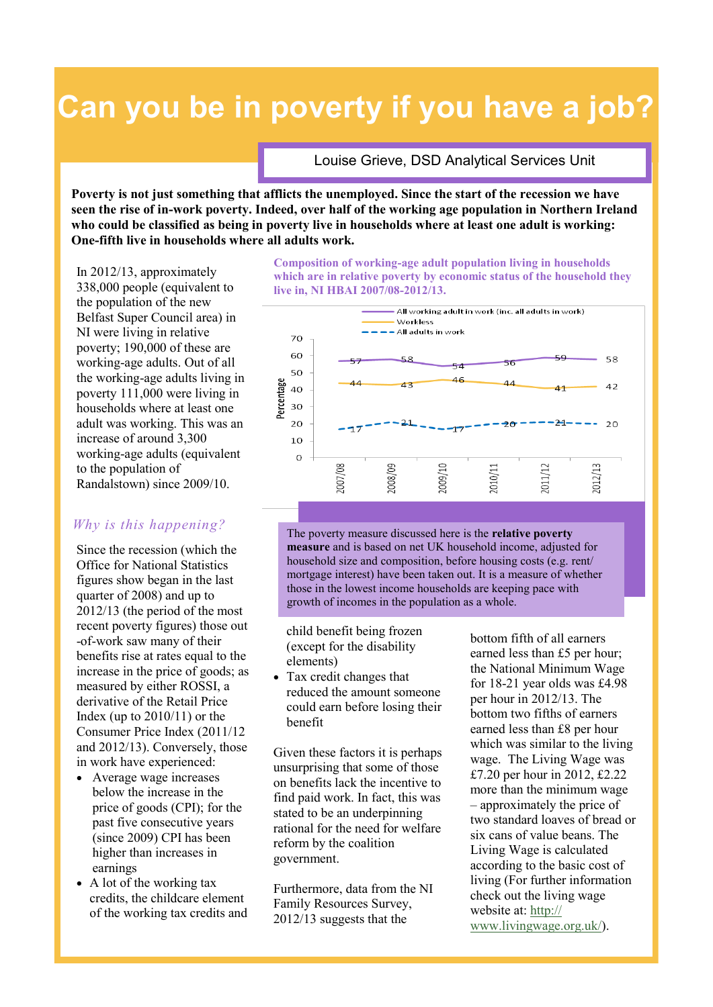## **Can you be in poverty if you have a job?**

Louise Grieve, DSD Analytical Services Unit

**Poverty is not just something that afflicts the unemployed. Since the start of the recession we have seen the rise of in-work poverty. Indeed, over half of the working age population in Northern Ireland who could be classified as being in poverty live in households where at least one adult is working: One-fifth live in households where all adults work.**

In 2012/13, approximately 338,000 people (equivalent to the population of the new Belfast Super Council area) in NI were living in relative poverty; 190,000 of these are working-age adults. Out of all the working-age adults living in poverty 111,000 were living in households where at least one adult was working. This was an increase of around 3,300 working-age adults (equivalent to the population of Randalstown) since 2009/10.

## *Why is this happening?*

Since the recession (which the Office for National Statistics figures show began in the last quarter of 2008) and up to 2012/13 (the period of the most recent poverty figures) those out -of-work saw many of their benefits rise at rates equal to the increase in the price of goods; as measured by either ROSSI, a derivative of the Retail Price Index (up to  $2010/11$ ) or the Consumer Price Index (2011/12 and 2012/13). Conversely, those in work have experienced:

- Average wage increases below the increase in the price of goods (CPI); for the past five consecutive years (since 2009) CPI has been higher than increases in earnings
- A lot of the working tax credits, the childcare element of the working tax credits and

**Composition of working-age adult population living in households which are in relative poverty by economic status of the household they live in, NI HBAI 2007/08-2012/13.**



The poverty measure discussed here is the **relative poverty measure** and is based on net UK household income, adjusted for household size and composition, before housing costs (e.g. rent/ mortgage interest) have been taken out. It is a measure of whether those in the lowest income households are keeping pace with growth of incomes in the population as a whole.

child benefit being frozen (except for the disability elements)

 Tax credit changes that reduced the amount someone could earn before losing their benefit

Given these factors it is perhaps unsurprising that some of those on benefits lack the incentive to find paid work. In fact, this was stated to be an underpinning rational for the need for welfare reform by the coalition government.

Furthermore, data from the NI Family Resources Survey, 2012/13 suggests that the

bottom fifth of all earners earned less than £5 per hour; the National Minimum Wage for 18-21 year olds was £4.98 per hour in 2012/13. The bottom two fifths of earners earned less than £8 per hour which was similar to the living wage. The Living Wage was £7.20 per hour in 2012, £2.22 more than the minimum wage – approximately the price of two standard loaves of bread or six cans of value beans. The Living Wage is calculated according to the basic cost of living (For further information check out the living wage website at: [http://](http://www.livingwage.org.uk/) [www.livingwage.org.uk/\)](http://www.livingwage.org.uk/).